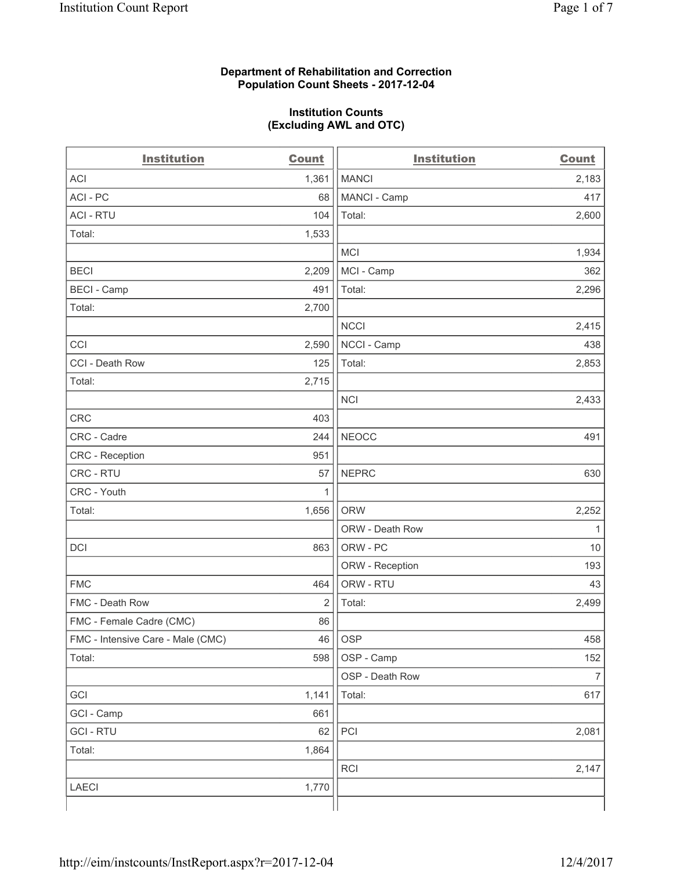### **Department of Rehabilitation and Correction Population Count Sheets - 2017-12-04**

#### **Institution Counts (Excluding AWL and OTC)**

| <b>Institution</b>                | <b>Count</b> | <b>Institution</b> | <b>Count</b>   |
|-----------------------------------|--------------|--------------------|----------------|
| <b>ACI</b>                        | 1,361        | <b>MANCI</b>       | 2,183          |
| ACI-PC                            | 68           | MANCI - Camp       | 417            |
| <b>ACI - RTU</b>                  | 104          | Total:             | 2,600          |
| Total:                            | 1,533        |                    |                |
|                                   |              | <b>MCI</b>         | 1,934          |
| <b>BECI</b>                       | 2,209        | MCI - Camp         | 362            |
| <b>BECI</b> - Camp                | 491          | Total:             | 2,296          |
| Total:                            | 2,700        |                    |                |
|                                   |              | <b>NCCI</b>        | 2,415          |
| CCI                               | 2,590        | NCCI - Camp        | 438            |
| CCI - Death Row                   | 125          | Total:             | 2,853          |
| Total:                            | 2,715        |                    |                |
|                                   |              | <b>NCI</b>         | 2,433          |
| <b>CRC</b>                        | 403          |                    |                |
| CRC - Cadre                       | 244          | <b>NEOCC</b>       | 491            |
| CRC - Reception                   | 951          |                    |                |
| CRC - RTU                         | 57           | <b>NEPRC</b>       | 630            |
| CRC - Youth                       | 1            |                    |                |
| Total:                            | 1,656        | <b>ORW</b>         | 2,252          |
|                                   |              | ORW - Death Row    | 1              |
| DCI                               | 863          | ORW - PC           | 10             |
|                                   |              | ORW - Reception    | 193            |
| <b>FMC</b>                        | 464          | ORW - RTU          | 43             |
| FMC - Death Row                   | 2            | Total:             | 2,499          |
| FMC - Female Cadre (CMC)          | 86           |                    |                |
| FMC - Intensive Care - Male (CMC) | 46           | OSP                | 458            |
| Total:                            | 598          | OSP - Camp         | 152            |
|                                   |              | OSP - Death Row    | $\overline{7}$ |
| GCI                               | 1,141        | Total:             | 617            |
| GCI - Camp                        | 661          |                    |                |
| <b>GCI-RTU</b>                    | 62           | PCI                | 2,081          |
| Total:                            | 1,864        |                    |                |
|                                   |              | RCI                | 2,147          |
| <b>LAECI</b>                      | 1,770        |                    |                |
|                                   |              |                    |                |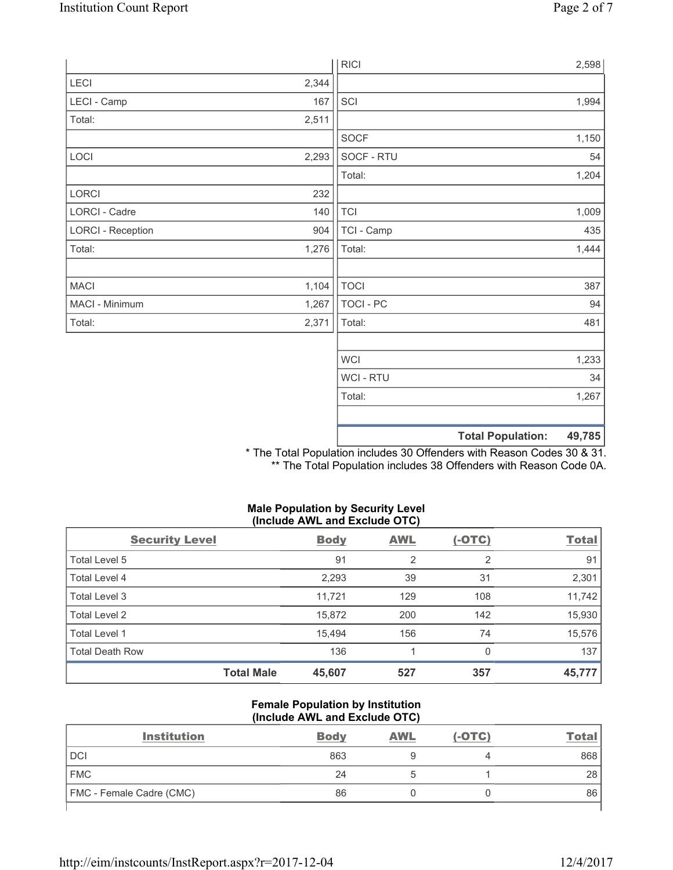|                          |       | <b>RICI</b> | 2,598                              |
|--------------------------|-------|-------------|------------------------------------|
| LECI                     | 2,344 |             |                                    |
| LECI - Camp              | 167   | SCI         | 1,994                              |
| Total:                   | 2,511 |             |                                    |
|                          |       | <b>SOCF</b> | 1,150                              |
| LOCI                     | 2,293 | SOCF - RTU  | 54                                 |
|                          |       | Total:      | 1,204                              |
| LORCI                    | 232   |             |                                    |
| LORCI - Cadre            | 140   | <b>TCI</b>  | 1,009                              |
| <b>LORCI - Reception</b> | 904   | TCI - Camp  | 435                                |
| Total:                   | 1,276 | Total:      | 1,444                              |
|                          |       |             |                                    |
| <b>MACI</b>              | 1,104 | <b>TOCI</b> | 387                                |
| MACI - Minimum           | 1,267 | TOCI - PC   | 94                                 |
| Total:                   | 2,371 | Total:      | 481                                |
|                          |       |             |                                    |
|                          |       | <b>WCI</b>  | 1,233                              |
|                          |       | WCI - RTU   | 34                                 |
|                          |       | Total:      | 1,267                              |
|                          |       |             |                                    |
|                          |       |             | <b>Total Population:</b><br>49,785 |

\* The Total Population includes 30 Offenders with Reason Codes 30 & 31. \*\* The Total Population includes 38 Offenders with Reason Code 0A.

# **Male Population by Security Level (Include AWL and Exclude OTC)**

| <b>Security Level</b>  |                   | <b>Body</b> | <b>AWL</b>     | $(-OTC)$ | <b>Total</b> |
|------------------------|-------------------|-------------|----------------|----------|--------------|
| Total Level 5          |                   | 91          | $\overline{2}$ | 2        | 91           |
| Total Level 4          |                   | 2,293       | 39             | 31       | 2,301        |
| Total Level 3          |                   | 11.721      | 129            | 108      | 11,742       |
| Total Level 2          |                   | 15,872      | 200            | 142      | 15,930       |
| Total Level 1          |                   | 15,494      | 156            | 74       | 15,576       |
| <b>Total Death Row</b> |                   | 136         |                | 0        | 137          |
|                        | <b>Total Male</b> | 45,607      | 527            | 357      | 45,777       |

### **Female Population by Institution (Include AWL and Exclude OTC)**

| <b>Institution</b>       | <b>Body</b> | <b>AWL</b> | $(-OTC)$ | Total |
|--------------------------|-------------|------------|----------|-------|
| <b>DCI</b>               | 863         |            |          | 868   |
| <b>FMC</b>               | 24          |            |          | 28    |
| FMC - Female Cadre (CMC) | 86          |            |          | 86    |
|                          |             |            |          |       |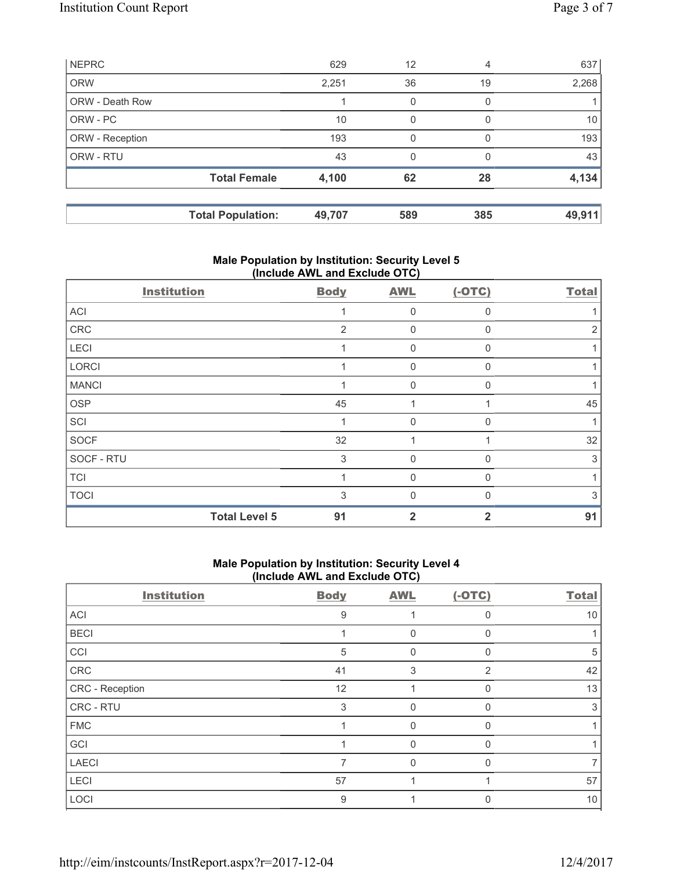|                        | <b>Total Population:</b> | 49,707 | 589 | 385      | 49,911 |
|------------------------|--------------------------|--------|-----|----------|--------|
|                        | <b>Total Female</b>      | 4,100  | 62  | 28       | 4,134  |
| ORW - RTU              |                          | 43     | 0   |          | 43     |
| ORW - Reception        |                          | 193    | 0   |          | 193    |
| ORW - PC               |                          | 10     | 0   | $\Omega$ | 10     |
| <b>ORW - Death Row</b> |                          |        | 0   | 0        |        |
| <b>ORW</b>             |                          | 2,251  | 36  | 19       | 2,268  |
| <b>NEPRC</b>           |                          | 629    | 12  | 4        | 637    |

# **Male Population by Institution: Security Level 5 (Include AWL and Exclude OTC)**

| <b>Institution</b>   | <b>Body</b> | <b>AWL</b>  | $(-OTC)$     | <b>Total</b> |
|----------------------|-------------|-------------|--------------|--------------|
| ACI                  |             | $\Omega$    | $\Omega$     |              |
| CRC                  | 2           | $\Omega$    | $\Omega$     |              |
| LECI                 |             | 0           | $\mathbf{0}$ |              |
| LORCI                |             | $\mathbf 0$ | $\Omega$     |              |
| <b>MANCI</b>         |             | $\Omega$    | $\Omega$     |              |
| <b>OSP</b>           | 45          |             |              | 45           |
| SCI                  |             | $\Omega$    | $\Omega$     |              |
| <b>SOCF</b>          | 32          |             |              | 32           |
| SOCF - RTU           | 3           | $\mathbf 0$ | $\Omega$     | 3            |
| <b>TCI</b>           |             | $\Omega$    | $\Omega$     |              |
| <b>TOCI</b>          | 3           | U           |              | 3            |
| <b>Total Level 5</b> | 91          | 2           | 2            | 91           |

# **Male Population by Institution: Security Level 4 (Include AWL and Exclude OTC)**

| <b>Institution</b> | <b>Body</b> | <b>AWL</b> | $(-OTC)$     | <b>Total</b> |
|--------------------|-------------|------------|--------------|--------------|
| ACI                | 9           |            | U            | 10           |
| <b>BECI</b>        |             | 0          |              |              |
| CCI                | 5           | 0          | U            | 5            |
| ${\sf CRC}$        | 41          | 3          | 2            | 42           |
| CRC - Reception    | 12          |            |              | 13           |
| CRC - RTU          | 3           | 0          |              | 3            |
| <b>FMC</b>         |             | 0          | <sup>0</sup> |              |
| GCI                |             | $\Omega$   | 0            |              |
| <b>LAECI</b>       |             | 0          | U            |              |
| LECI               | 57          |            |              | 57           |
| LOCI               | 9           |            |              | 10           |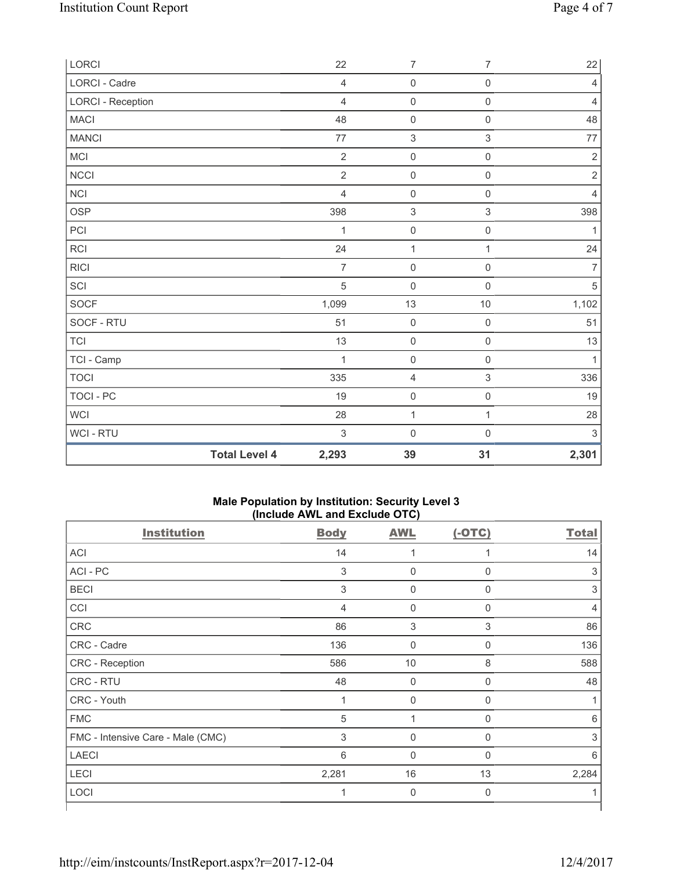| LORCI                    |                      | 22             | $\overline{7}$      | $\overline{7}$      | 22             |
|--------------------------|----------------------|----------------|---------------------|---------------------|----------------|
| <b>LORCI - Cadre</b>     |                      | $\overline{4}$ | $\mathsf{O}\xspace$ | $\mathsf{O}\xspace$ | $\overline{4}$ |
| <b>LORCI - Reception</b> |                      | $\overline{4}$ | $\mathsf{O}\xspace$ | $\mathsf{O}\xspace$ | $\overline{4}$ |
| <b>MACI</b>              |                      | 48             | $\mathsf{O}\xspace$ | $\mathsf{O}\xspace$ | 48             |
| <b>MANCI</b>             |                      | 77             | $\sqrt{3}$          | $\mathfrak{S}$      | $77 \,$        |
| MCI                      |                      | $\overline{2}$ | $\mathsf{O}\xspace$ | $\mathsf{O}\xspace$ | $\sqrt{2}$     |
| NCCI                     |                      | $\overline{2}$ | $\mathsf{O}\xspace$ | $\mathsf{O}\xspace$ | $\sqrt{2}$     |
| <b>NCI</b>               |                      | $\overline{4}$ | $\mathsf{O}\xspace$ | $\mathsf{O}\xspace$ | $\overline{4}$ |
| <b>OSP</b>               |                      | 398            | $\sqrt{3}$          | $\,$ 3 $\,$         | 398            |
| PCI                      |                      | 1              | $\pmb{0}$           | $\mathsf{O}\xspace$ | 1              |
| RCI                      |                      | 24             | $\mathbf 1$         | $\mathbf{1}$        | 24             |
| <b>RICI</b>              |                      | $\overline{7}$ | $\mathsf{O}\xspace$ | $\mathsf{O}\xspace$ | $\overline{7}$ |
| SCI                      |                      | $\overline{5}$ | $\mathsf{O}\xspace$ | $\mathsf{O}\xspace$ | $\overline{5}$ |
| SOCF                     |                      | 1,099          | $13$                | 10                  | 1,102          |
| SOCF - RTU               |                      | 51             | $\mathsf{O}\xspace$ | $\mathsf{O}\xspace$ | 51             |
| TCI                      |                      | 13             | $\mathsf{O}\xspace$ | $\mathsf 0$         | 13             |
| TCI - Camp               |                      | 1              | $\mathbf 0$         | $\mathsf{O}\xspace$ | $\mathbf{1}$   |
| <b>TOCI</b>              |                      | 335            | $\overline{4}$      | $\,$ 3 $\,$         | 336            |
| TOCI - PC                |                      | 19             | $\mathsf{O}\xspace$ | $\mathsf 0$         | 19             |
| WCI                      |                      | 28             | $\mathbf 1$         | $\mathbf{1}$        | 28             |
| WCI - RTU                |                      | $\mathsf 3$    | $\mathsf{O}\xspace$ | $\mathsf{O}\xspace$ | $\sqrt{3}$     |
|                          | <b>Total Level 4</b> | 2,293          | 39                  | 31                  | 2,301          |

### **Male Population by Institution: Security Level 3 (Include AWL and Exclude OTC)**

| <b>Institution</b>                | <b>Body</b>               | <b>AWL</b>  | $(-OTC)$    | <b>Total</b> |
|-----------------------------------|---------------------------|-------------|-------------|--------------|
| ACI                               | 14                        |             |             | 14           |
| ACI - PC                          | $\ensuremath{\mathsf{3}}$ | $\pmb{0}$   | 0           | 3            |
| <b>BECI</b>                       | $\mathfrak{S}$            | $\mathbf 0$ | 0           | 3            |
| CCI                               | $\overline{4}$            | $\mathbf 0$ | $\Omega$    | 4            |
| CRC                               | 86                        | 3           | 3           | 86           |
| CRC - Cadre                       | 136                       | $\mathbf 0$ | $\mathbf 0$ | 136          |
| CRC - Reception                   | 586                       | 10          | 8           | 588          |
| CRC - RTU                         | 48                        | $\mathbf 0$ | 0           | 48           |
| CRC - Youth                       | 1                         | $\mathbf 0$ | 0           |              |
| <b>FMC</b>                        | 5                         | 1           | 0           | 6            |
| FMC - Intensive Care - Male (CMC) | 3                         | $\mathbf 0$ | $\Omega$    | 3            |
| <b>LAECI</b>                      | 6                         | $\Omega$    | $\Omega$    | 6            |
| LECI                              | 2,281                     | 16          | 13          | 2,284        |
| LOCI                              | 1                         | $\mathbf 0$ | $\Omega$    |              |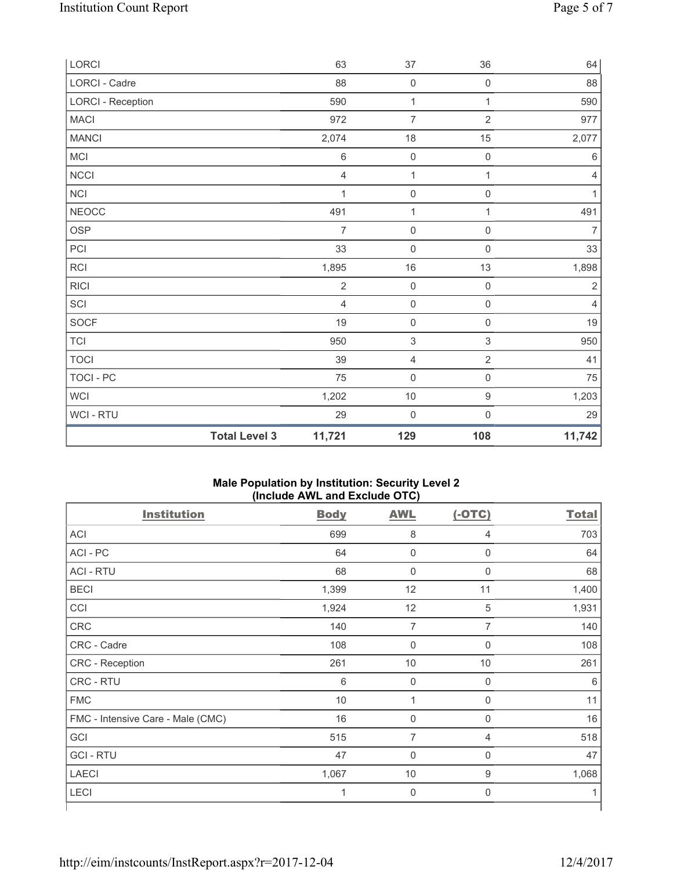| LORCI                    | 63             | 37                        | 36                        | 64             |
|--------------------------|----------------|---------------------------|---------------------------|----------------|
| LORCI - Cadre            | 88             | $\mathbf 0$               | $\mathsf{O}\xspace$       | 88             |
| <b>LORCI - Reception</b> | 590            | $\mathbf 1$               | $\mathbf{1}$              | 590            |
| MACI                     | 972            | 7                         | $\overline{2}$            | 977            |
| <b>MANCI</b>             | 2,074          | 18                        | 15                        | 2,077          |
| MCI                      | $\,6$          | $\mathsf{O}\xspace$       | $\mathsf 0$               | $\,6\,$        |
| NCCI                     | $\overline{4}$ | 1                         | $\mathbf{1}$              | $\overline{4}$ |
| NCI                      | $\mathbf 1$    | $\mathsf{O}\xspace$       | $\mathsf{O}\xspace$       | $\mathbf{1}$   |
| <b>NEOCC</b>             | 491            | 1                         | 1                         | 491            |
| OSP                      | $\overline{7}$ | $\mathsf{O}\xspace$       | $\mathsf{O}\xspace$       | $\overline{7}$ |
| PCI                      | 33             | $\mathsf{O}\xspace$       | $\mathsf{O}\xspace$       | 33             |
| RCI                      | 1,895          | $16\,$                    | 13                        | 1,898          |
| <b>RICI</b>              | $\sqrt{2}$     | $\pmb{0}$                 | $\mathsf{O}\xspace$       | $\sqrt{2}$     |
| SCI                      | $\overline{4}$ | $\pmb{0}$                 | $\mathsf 0$               | $\overline{4}$ |
| SOCF                     | 19             | $\mathsf{O}\xspace$       | $\mathsf{O}\xspace$       | 19             |
| <b>TCI</b>               | 950            | $\ensuremath{\mathsf{3}}$ | $\ensuremath{\mathsf{3}}$ | 950            |
| <b>TOCI</b>              | 39             | $\overline{4}$            | $\sqrt{2}$                | 41             |
| TOCI - PC                | 75             | $\mathsf{O}\xspace$       | $\mathsf{O}\xspace$       | 75             |
| WCI                      | 1,202          | $10$                      | 9                         | 1,203          |
| WCI - RTU                | 29             | $\mathbf 0$               | $\mathsf{O}\xspace$       | 29             |
| <b>Total Level 3</b>     | 11,721         | 129                       | 108                       | 11,742         |

### **Male Population by Institution: Security Level 2 (Include AWL and Exclude OTC)**

| <b>Institution</b>                | <b>Body</b> | <b>AWL</b>          | $(-OTC)$       | <b>Total</b> |
|-----------------------------------|-------------|---------------------|----------------|--------------|
| <b>ACI</b>                        | 699         | $\,8\,$             | $\overline{4}$ | 703          |
| ACI - PC                          | 64          | $\mathbf 0$         | $\mathbf 0$    | 64           |
| <b>ACI - RTU</b>                  | 68          | $\mathbf 0$         | $\mathbf 0$    | 68           |
| <b>BECI</b>                       | 1,399       | 12                  | 11             | 1,400        |
| CCI                               | 1,924       | 12                  | $\sqrt{5}$     | 1,931        |
| <b>CRC</b>                        | 140         | 7                   | $\overline{7}$ | 140          |
| CRC - Cadre                       | 108         | $\mathbf 0$         | $\mathbf 0$    | 108          |
| CRC - Reception                   | 261         | $10$                | 10             | 261          |
| CRC - RTU                         | 6           | $\mathsf{O}\xspace$ | $\mathsf 0$    | 6            |
| <b>FMC</b>                        | 10          | 1                   | $\mathbf 0$    | 11           |
| FMC - Intensive Care - Male (CMC) | 16          | $\mathsf{O}\xspace$ | $\mathbf 0$    | 16           |
| GCI                               | 515         | $\overline{7}$      | 4              | 518          |
| <b>GCI-RTU</b>                    | 47          | $\mathbf 0$         | $\mathbf 0$    | 47           |
| <b>LAECI</b>                      | 1,067       | 10                  | 9              | 1,068        |
| LECI                              | 1           | $\mathbf 0$         | $\mathbf 0$    | 1            |
|                                   |             |                     |                |              |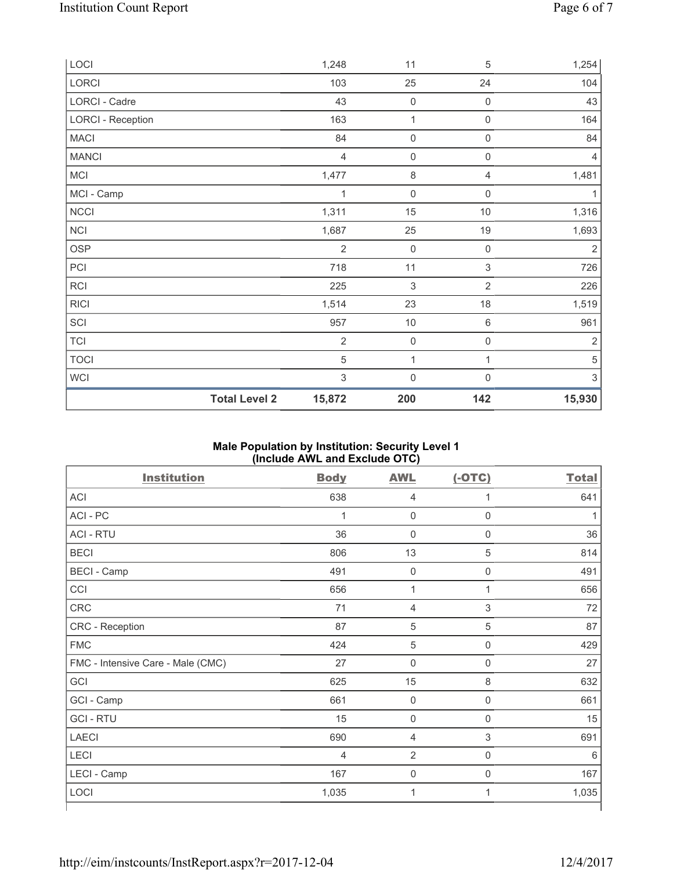| LOCI                     |                      | 1,248                     | 11                  | 5                         | 1,254                     |
|--------------------------|----------------------|---------------------------|---------------------|---------------------------|---------------------------|
| LORCI                    |                      | 103                       | 25                  | 24                        | 104                       |
| LORCI - Cadre            |                      | 43                        | $\mathsf{O}\xspace$ | $\mathbf 0$               | 43                        |
| <b>LORCI - Reception</b> |                      | 163                       | $\mathbf{1}$        | $\mathbf 0$               | 164                       |
| <b>MACI</b>              |                      | 84                        | $\mathbf 0$         | $\boldsymbol{0}$          | 84                        |
| <b>MANCI</b>             |                      | $\overline{4}$            | $\mathsf{O}\xspace$ | $\mathsf{O}\xspace$       | $\overline{4}$            |
| <b>MCI</b>               |                      | 1,477                     | 8                   | $\overline{4}$            | 1,481                     |
| MCI - Camp               |                      | 1                         | $\mathbf 0$         | $\mathbf 0$               | 1                         |
| <b>NCCI</b>              |                      | 1,311                     | 15                  | 10                        | 1,316                     |
| NCI                      |                      | 1,687                     | 25                  | 19                        | 1,693                     |
| <b>OSP</b>               |                      | $\overline{2}$            | $\mathbf 0$         | $\mathbf 0$               | $\overline{2}$            |
| PCI                      |                      | 718                       | 11                  | $\ensuremath{\mathsf{3}}$ | 726                       |
| RCI                      |                      | 225                       | 3                   | $\overline{2}$            | 226                       |
| <b>RICI</b>              |                      | 1,514                     | 23                  | 18                        | 1,519                     |
| SCI                      |                      | 957                       | $10$                | $\,6\,$                   | 961                       |
| TCI                      |                      | $\overline{2}$            | $\mathsf{O}\xspace$ | $\mathsf 0$               | $\overline{2}$            |
| <b>TOCI</b>              |                      | $\sqrt{5}$                | 1                   | 1                         | $\,$ 5 $\,$               |
| WCI                      |                      | $\ensuremath{\mathsf{3}}$ | $\boldsymbol{0}$    | 0                         | $\ensuremath{\mathsf{3}}$ |
|                          | <b>Total Level 2</b> | 15,872                    | 200                 | 142                       | 15,930                    |

### **Male Population by Institution: Security Level 1 (Include AWL and Exclude OTC)**

| <b>Institution</b>                | <b>Body</b>    | <b>AWL</b>          | $(-OTC)$            | <b>Total</b> |
|-----------------------------------|----------------|---------------------|---------------------|--------------|
| ACI                               | 638            | 4                   | 1                   | 641          |
| ACI-PC                            | $\overline{1}$ | $\mathsf{O}\xspace$ | $\mathbf 0$         |              |
| <b>ACI - RTU</b>                  | 36             | $\mathsf{O}\xspace$ | $\mathbf 0$         | 36           |
| <b>BECI</b>                       | 806            | 13                  | 5                   | 814          |
| <b>BECI</b> - Camp                | 491            | $\mathsf{O}\xspace$ | $\mathsf 0$         | 491          |
| CCI                               | 656            | $\mathbf{1}$        | 1                   | 656          |
| CRC                               | 71             | 4                   | 3                   | 72           |
| CRC - Reception                   | 87             | $\sqrt{5}$          | $\sqrt{5}$          | 87           |
| <b>FMC</b>                        | 424            | $\,$ 5 $\,$         | $\boldsymbol{0}$    | 429          |
| FMC - Intensive Care - Male (CMC) | 27             | $\mathsf{O}\xspace$ | $\boldsymbol{0}$    | 27           |
| GCI                               | 625            | 15                  | 8                   | 632          |
| GCI - Camp                        | 661            | $\mathsf{O}\xspace$ | $\mathsf{O}\xspace$ | 661          |
| <b>GCI-RTU</b>                    | 15             | 0                   | $\mathbf 0$         | 15           |
| <b>LAECI</b>                      | 690            | 4                   | 3                   | 691          |
| LECI                              | 4              | $\overline{2}$      | 0                   | 6            |
| LECI - Camp                       | 167            | 0                   | $\mathsf{0}$        | 167          |
| LOCI                              | 1,035          | 1                   | 1                   | 1,035        |